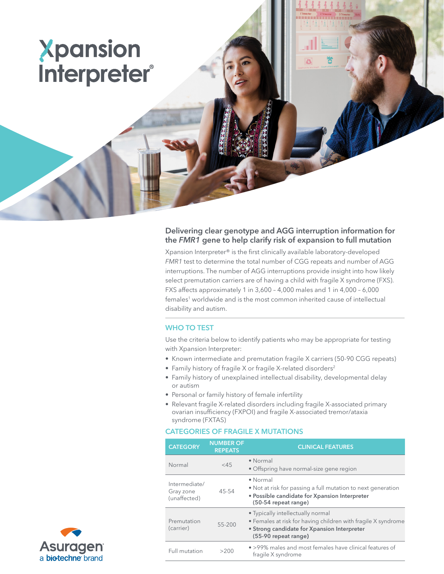# Xpansion Interpreter®

# Delivering clear genotype and AGG interruption information for the *FMR1* gene to help clarify risk of expansion to full mutation

Xpansion Interpreter® is the first clinically available laboratory-developed *FMR1* test to determine the total number of CGG repeats and number of AGG interruptions. The number of AGG interruptions provide insight into how likely select premutation carriers are of having a child with fragile X syndrome (FXS). FXS affects approximately 1 in 3,600 – 4,000 males and 1 in 4,000 – 6,000 females<sup>1</sup> worldwide and is the most common inherited cause of intellectual disability and autism.

### WHO TO TEST

Use the criteria below to identify patients who may be appropriate for testing with Xpansion Interpreter:

- Known intermediate and premutation fragile X carriers (50-90 CGG repeats)
- Family history of fragile X or fragile X-related disorders<sup>2</sup>
- Family history of unexplained intellectual disability, developmental delay or autism
- Personal or family history of female infertility
- Relevant fragile X-related disorders including fragile X-associated primary ovarian insufficiency (FXPOI) and fragile X-associated tremor/ataxia syndrome (FXTAS)

## CATEGORIES OF FRAGILE X MUTATIONS

| <b>CATEGORY</b>                            | <b>NUMBER OF</b><br><b>REPEATS</b> | <b>CLINICAL FEATURES</b>                                                                                                                                                  |
|--------------------------------------------|------------------------------------|---------------------------------------------------------------------------------------------------------------------------------------------------------------------------|
| Normal                                     | $<$ 45                             | • Normal<br>• Offspring have normal-size gene region                                                                                                                      |
| Intermediate/<br>Gray zone<br>(unaffected) | 45-54                              | $\bullet$ Normal<br>• Not at risk for passing a full mutation to next generation<br>• Possible candidate for Xpansion Interpreter<br>(50-54 repeat range)                 |
| Premutation<br>(carrier)                   | 55-200                             | • Typically intellectually normal<br>• Females at risk for having children with fragile X syndrome<br>• Strong candidate for Xpansion Interpreter<br>(55-90 repeat range) |
| Full mutation                              | >200                               | • >99% males and most females have clinical features of<br>fragile X syndrome                                                                                             |